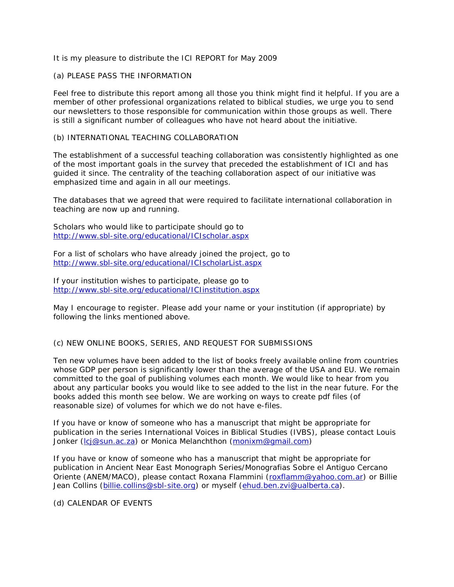### It is my pleasure to distribute the ICI REPORT for May 2009

## (a) PLEASE PASS THE INFORMATION

Feel free to distribute this report among all those you think might find it helpful. If you are a member of other professional organizations related to biblical studies, we urge you to send our newsletters to those responsible for communication within those groups as well. There is still a significant number of colleagues who have not heard about the initiative.

### (b) INTERNATIONAL TEACHING COLLABORATION

The establishment of a successful teaching collaboration was consistently highlighted as one of the most important goals in the survey that preceded the establishment of ICI and has guided it since. The centrality of the teaching collaboration aspect of our initiative was emphasized time and again in all our meetings.

The databases that we agreed that were required to facilitate international collaboration in teaching are now up and running.

Scholars who would like to participate should go to [http://www.sbl-site.org/educational/ICIscholar.aspx](https://artsml.arts.ualberta.ca/exchweb/bin/redir.asp?URL=http://www.sbl-site.org/educational/ICIscholar.aspx)

For a list of scholars who have already joined the project, go to [http://www.sbl-site.org/educational/ICIscholarList.aspx](https://artsml.arts.ualberta.ca/exchweb/bin/redir.asp?URL=http://www.sbl-site.org/educational/ICIscholarList.aspx)

If your institution wishes to participate, please go to [http://www.sbl-site.org/educational/ICIinstitution.aspx](https://artsml.arts.ualberta.ca/exchweb/bin/redir.asp?URL=http://www.sbl-site.org/educational/ICIinstitution.aspx)

May I encourage to register. Please add your name or your institution (if appropriate) by following the links mentioned above.

# (c) NEW ONLINE BOOKS, SERIES, AND REQUEST FOR SUBMISSIONS

Ten new volumes have been added to the list of books freely available online from countries whose GDP per person is significantly lower than the average of the USA and EU. We remain committed to the goal of publishing volumes each month. We would like to hear from you about any particular books you would like to see added to the list in the near future. For the books added this month see below. We are working on ways to create pdf files (of reasonable size) of volumes for which we do not have e-files.

If you have or know of someone who has a manuscript that might be appropriate for publication in the series International Voices in Biblical Studies (IVBS), please contact Louis Jonker [\(lcj@sun.ac.za\)](mailto:lcj@sun.ac.za) or Monica Melanchthon [\(monixm@gmail.com\)](mailto:monixm@gmail.com)

If you have or know of someone who has a manuscript that might be appropriate for publication in Ancient Near East Monograph Series/Monografias Sobre el Antiguo Cercano Oriente (ANEM/MACO), please contact Roxana Flammini [\(roxflamm@yahoo.com.ar\)](mailto:roxflamm@yahoo.com.ar) or Billie Jean Collins [\(billie.collins@sbl-site.org\)](mailto:billie.collins@sbl-site.org) or myself [\(ehud.ben.zvi@ualberta.ca\)](mailto:ehud.ben.zvi@ualberta.ca).

### (d) CALENDAR OF EVENTS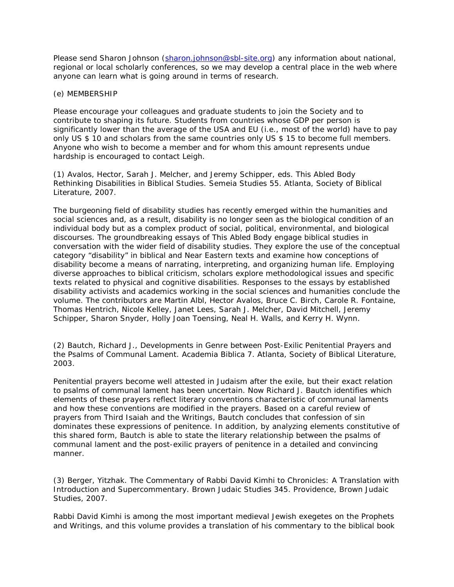Please send Sharon Johnson [\(sharon.johnson@sbl-site.org\)](mailto:sharon.johnson@sbl-site.org) any information about national, regional or local scholarly conferences, so we may develop a central place in the web where anyone can learn what is going around in terms of research.

#### (e) MEMBERSHIP

Please encourage your colleagues and graduate students to join the Society and to contribute to shaping its future. Students from countries whose GDP per person is significantly lower than the average of the USA and EU (i.e., most of the world) have to pay only US \$ 10 and scholars from the same countries only US \$ 15 to become full members. Anyone who wish to become a member and for whom this amount represents undue hardship is encouraged to contact Leigh.

(1) Avalos, Hector, Sarah J. Melcher, and Jeremy Schipper, eds. *This Abled Body Rethinking Disabilities in Biblical Studies.* Semeia Studies 55. Atlanta, Society of Biblical Literature, 2007.

The burgeoning field of disability studies has recently emerged within the humanities and social sciences and, as a result, disability is no longer seen as the biological condition of an individual body but as a complex product of social, political, environmental, and biological discourses. The groundbreaking essays of *This Abled Body* engage biblical studies in conversation with the wider field of disability studies. They explore the use of the conceptual category "disability" in biblical and Near Eastern texts and examine how conceptions of disability become a means of narrating, interpreting, and organizing human life. Employing diverse approaches to biblical criticism, scholars explore methodological issues and specific texts related to physical and cognitive disabilities. Responses to the essays by established disability activists and academics working in the social sciences and humanities conclude the volume. The contributors are Martin Albl, Hector Avalos, Bruce C. Birch, Carole R. Fontaine, Thomas Hentrich, Nicole Kelley, Janet Lees, Sarah J. Melcher, David Mitchell, Jeremy Schipper, Sharon Snyder, Holly Joan Toensing, Neal H. Walls, and Kerry H. Wynn.

(2) Bautch, Richard J., *Developments in Genre between Post-Exilic Penitential Prayers and the Psalms of Communal Lament.* Academia Biblica 7. Atlanta, Society of Biblical Literature, 2003.

Penitential prayers become well attested in Judaism after the exile, but their exact relation to psalms of communal lament has been uncertain. Now Richard J. Bautch identifies which elements of these prayers reflect literary conventions characteristic of communal laments and how these conventions are modified in the prayers. Based on a careful review of prayers from Third Isaiah and the Writings, Bautch concludes that confession of sin dominates these expressions of penitence. In addition, by analyzing elements constitutive of this shared form, Bautch is able to state the literary relationship between the psalms of communal lament and the post-exilic prayers of penitence in a detailed and convincing manner.

(3) Berger, Yitzhak. *The Commentary of Rabbi David Kimhi to Chronicles: A Translation with Introduction and Supercommentary.* Brown Judaic Studies 345. Providence, Brown Judaic Studies, 2007.

Rabbi David Kimhi is among the most important medieval Jewish exegetes on the Prophets and Writings, and this volume provides a translation of his commentary to the biblical book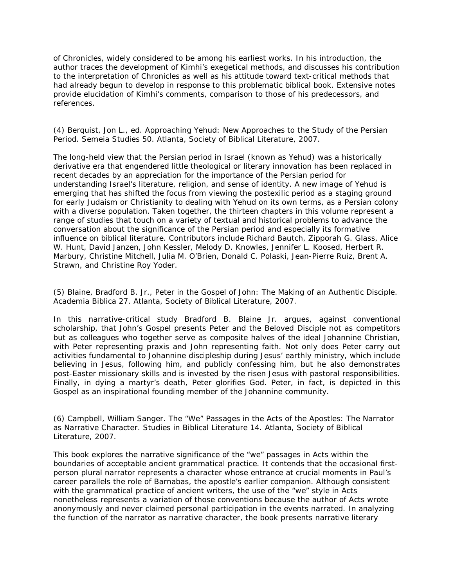of Chronicles, widely considered to be among his earliest works. In his introduction, the author traces the development of Kimhi's exegetical methods, and discusses his contribution to the interpretation of Chronicles as well as his attitude toward text-critical methods that had already begun to develop in response to this problematic biblical book. Extensive notes provide elucidation of Kimhi's comments, comparison to those of his predecessors, and references.

## (4) Berquist, Jon L., ed. *Approaching Yehud: New Approaches to the Study of the Persian Period.* Semeia Studies 50. Atlanta, Society of Biblical Literature, 2007.

The long-held view that the Persian period in Israel (known as Yehud) was a historically derivative era that engendered little theological or literary innovation has been replaced in recent decades by an appreciation for the importance of the Persian period for understanding Israel's literature, religion, and sense of identity. A new image of Yehud is emerging that has shifted the focus from viewing the postexilic period as a staging ground for early Judaism or Christianity to dealing with Yehud on its own terms, as a Persian colony with a diverse population. Taken together, the thirteen chapters in this volume represent a range of studies that touch on a variety of textual and historical problems to advance the conversation about the significance of the Persian period and especially its formative influence on biblical literature. Contributors include Richard Bautch, Zipporah G. Glass, Alice W. Hunt, David Janzen, John Kessler, Melody D. Knowles, Jennifer L. Koosed, Herbert R. Marbury, Christine Mitchell, Julia M. O'Brien, Donald C. Polaski, Jean-Pierre Ruiz, Brent A. Strawn, and Christine Roy Yoder.

(5) Blaine, Bradford B. Jr., *Peter in the Gospel of John: The Making of an Authentic Disciple.* Academia Biblica 27. Atlanta, Society of Biblical Literature, 2007.

In this narrative-critical study Bradford B. Blaine Jr. argues, against conventional scholarship, that John's Gospel presents Peter and the Beloved Disciple not as competitors but as colleagues who together serve as composite halves of the ideal Johannine Christian, with Peter representing praxis and John representing faith. Not only does Peter carry out activities fundamental to Johannine discipleship during Jesus' earthly ministry, which include believing in Jesus, following him, and publicly confessing him, but he also demonstrates post-Easter missionary skills and is invested by the risen Jesus with pastoral responsibilities. Finally, in dying a martyr's death, Peter glorifies God. Peter, in fact, is depicted in this Gospel as an inspirational founding member of the Johannine community.

(6) Campbell, William Sanger. *The "We" Passages in the Acts of the Apostles: The Narrator as Narrative Character.* Studies in Biblical Literature 14. Atlanta, Society of Biblical Literature, 2007.

This book explores the narrative significance of the "we" passages in Acts within the boundaries of acceptable ancient grammatical practice. It contends that the occasional firstperson plural narrator represents a character whose entrance at crucial moments in Paul's career parallels the role of Barnabas, the apostle's earlier companion. Although consistent with the grammatical practice of ancient writers, the use of the "we" style in Acts nonetheless represents a variation of those conventions because the author of Acts wrote anonymously and never claimed personal participation in the events narrated. In analyzing the function of the narrator as narrative character, the book presents narrative literary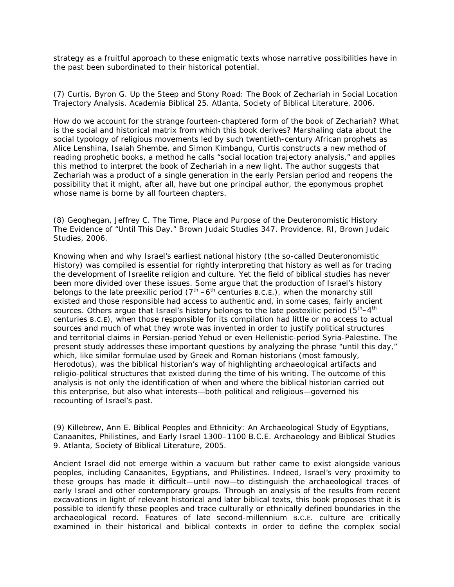strategy as a fruitful approach to these enigmatic texts whose narrative possibilities have in the past been subordinated to their historical potential.

(7) Curtis, Byron G. *Up the Steep and Stony Road: The Book of Zechariah in Social Location Trajectory Analysis.* Academia Biblical 25. Atlanta, Society of Biblical Literature, 2006.

How do we account for the strange fourteen-chaptered form of the book of Zechariah? What is the social and historical matrix from which this book derives? Marshaling data about the social typology of religious movements led by such twentieth-century African prophets as Alice Lenshina, Isaiah Shembe, and Simon Kimbangu, Curtis constructs a new method of reading prophetic books, a method he calls "social location trajectory analysis," and applies this method to interpret the book of Zechariah in a new light. The author suggests that Zechariah was a product of a single generation in the early Persian period and reopens the possibility that it might, after all, have but one principal author, the eponymous prophet whose name is borne by all fourteen chapters.

(8) Geoghegan, Jeffrey C. *The Time, Place and Purpose of the Deuteronomistic History The Evidence of "Until This Day."* Brown Judaic Studies 347. Providence, RI, Brown Judaic Studies, 2006.

Knowing when and why Israel's earliest national history (the so-called Deuteronomistic History) was compiled is essential for rightly interpreting that history as well as for tracing the development of Israelite religion and culture. Yet the field of biblical studies has never been more divided over these issues. Some argue that the production of Israel's history belongs to the late preexilic period  $(7<sup>th</sup> - 6<sup>th</sup>$  centuries B.C.E.), when the monarchy still existed and those responsible had access to authentic and, in some cases, fairly ancient sources. Others argue that Israel's history belongs to the late postexilic period  $(5<sup>th</sup>-4<sup>th</sup>)$ centuries B.C.E), when those responsible for its compilation had little or no access to actual sources and much of what they wrote was invented in order to justify political structures and territorial claims in Persian-period Yehud or even Hellenistic-period Syria-Palestine. The present study addresses these important questions by analyzing the phrase "until this day," which, like similar formulae used by Greek and Roman historians (most famously, Herodotus), was the biblical historian's way of highlighting archaeological artifacts and religio-political structures that existed during the time of his writing. The outcome of this analysis is not only the identification of when and where the biblical historian carried out this enterprise, but also what interests—both political and religious—governed his recounting of Israel's past.

## (9) Killebrew, Ann E. *Biblical Peoples and Ethnicity: An Archaeological Study of Egyptians, Canaanites, Philistines, and Early Israel 1300–1100 B.C.E.* Archaeology and Biblical Studies 9. Atlanta, Society of Biblical Literature, 2005.

Ancient Israel did not emerge within a vacuum but rather came to exist alongside various peoples, including Canaanites, Egyptians, and Philistines. Indeed, Israel's very proximity to these groups has made it difficult—until now—to distinguish the archaeological traces of early Israel and other contemporary groups. Through an analysis of the results from recent excavations in light of relevant historical and later biblical texts, this book proposes that it is possible to identify these peoples and trace culturally or ethnically defined boundaries in the archaeological record. Features of late second-millennium B.C.E. culture are critically examined in their historical and biblical contexts in order to define the complex social